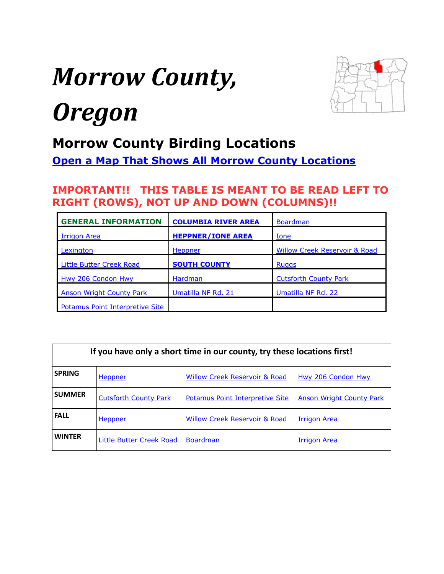# <span id="page-0-0"></span>*Morrow County,*



## *Oregon*

#### **Morrow County Birding Locations**

**[Open a Map That Shows All Morrow County Locations](https://www.google.com/maps/d/edit?mid=zVl1oTDALjf4.kNFpECxoxzeo&usp=sharing)**

#### **IMPORTANT!! THIS TABLE IS MEANT TO BE READ LEFT TO RIGHT (ROWS), NOT UP AND DOWN (COLUMNS)!!**

| <b>GENERAL INFORMATION</b>      | <b>COLUMBIA RIVER AREA</b> | <b>Boardman</b>                          |
|---------------------------------|----------------------------|------------------------------------------|
| <b>Irrigon Area</b>             | <b>HEPPNER/IONE AREA</b>   | <u>Ione</u>                              |
| Lexington                       | Heppner                    | <b>Willow Creek Reservoir &amp; Road</b> |
| <b>Little Butter Creek Road</b> | <b>SOUTH COUNTY</b>        | <b>Ruggs</b>                             |
| <b>Hwy 206 Condon Hwy</b>       | Hardman                    | <b>Cutsforth County Park</b>             |
| <b>Anson Wright County Park</b> | Umatilla NF Rd. 21         | Umatilla NF Rd. 22                       |
| Potamus Point Interpretive Site |                            |                                          |

| If you have only a short time in our county, try these locations first! |                                 |                                          |                                 |  |
|-------------------------------------------------------------------------|---------------------------------|------------------------------------------|---------------------------------|--|
| <b>SPRING</b>                                                           | <b>Heppner</b>                  | <b>Willow Creek Reservoir &amp; Road</b> | <b>Hwy 206 Condon Hwy</b>       |  |
| <b>SUMMER</b>                                                           | <b>Cutsforth County Park</b>    | <b>Potamus Point Interpretive Site</b>   | <b>Anson Wright County Park</b> |  |
| <b>FALL</b>                                                             | Heppner                         | <b>Willow Creek Reservoir &amp; Road</b> | <b>Irrigon Area</b>             |  |
| <b>WINTER</b>                                                           | <b>Little Butter Creek Road</b> | <b>Boardman</b>                          | <b>Irrigon Area</b>             |  |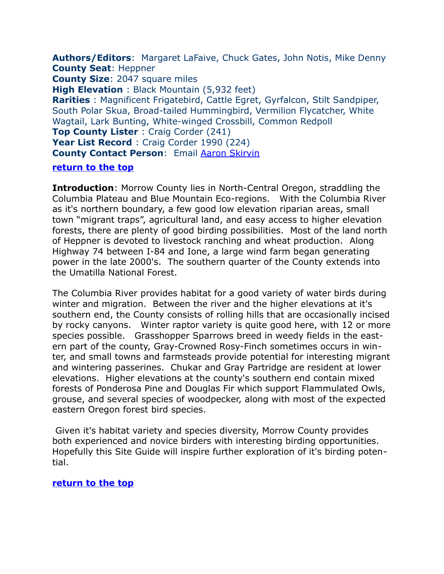<span id="page-1-0"></span>**Authors/Editors**: Margaret LaFaive, Chuck Gates, John Notis, Mike Denny **County Seat**: Heppner **County Size**: 2047 square miles **High Elevation** : Black Mountain (5,932 feet) **Rarities** : Magnificent Frigatebird, Cattle Egret, Gyrfalcon, Stilt Sandpiper, South Polar Skua, Broad-tailed Hummingbird, Vermilion Flycatcher, White Wagtail, Lark Bunting, White-winged Crossbill, Common Redpoll **Top County Lister** : Craig Corder (241) **Year List Record** : Craig Corder 1990 (224) **County Contact Person: Email [Aaron Skirvin](mailto:umatbirder@yahoo.com)** 

#### **[return to the top](#page-0-0)**

**Introduction**: Morrow County lies in North-Central Oregon, straddling the Columbia Plateau and Blue Mountain Eco-regions. With the Columbia River as it's northern boundary, a few good low elevation riparian areas, small town "migrant traps", agricultural land, and easy access to higher elevation forests, there are plenty of good birding possibilities. Most of the land north of Heppner is devoted to livestock ranching and wheat production. Along Highway 74 between I-84 and Ione, a large wind farm began generating power in the late 2000's. The southern quarter of the County extends into the Umatilla National Forest.

The Columbia River provides habitat for a good variety of water birds during winter and migration. Between the river and the higher elevations at it's southern end, the County consists of rolling hills that are occasionally incised by rocky canyons. Winter raptor variety is quite good here, with 12 or more species possible. Grasshopper Sparrows breed in weedy fields in the eastern part of the county, Gray-Crowned Rosy-Finch sometimes occurs in winter, and small towns and farmsteads provide potential for interesting migrant and wintering passerines. Chukar and Gray Partridge are resident at lower elevations. Higher elevations at the county's southern end contain mixed forests of Ponderosa Pine and Douglas Fir which support Flammulated Owls, grouse, and several species of woodpecker, along with most of the expected eastern Oregon forest bird species.

Given it's habitat variety and species diversity, Morrow County provides both experienced and novice birders with interesting birding opportunities. Hopefully this Site Guide will inspire further exploration of it's birding potential.

#### **[return to the top](#page-0-0)**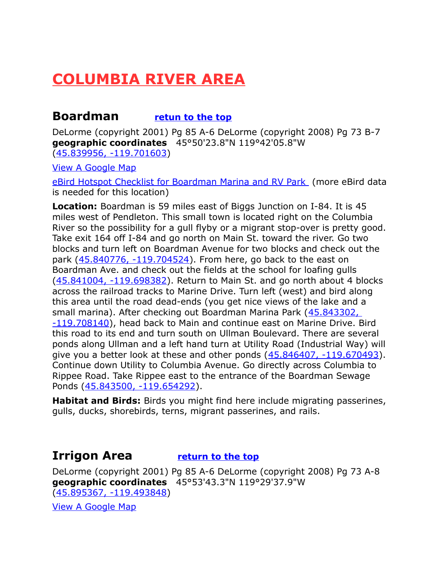## <span id="page-2-2"></span>**COLUMBIA RIVER AREA**

#### <span id="page-2-1"></span>**Boardman [retun to the top](#page-0-0)**

DeLorme (copyright 2001) Pg 85 A-6 DeLorme (copyright 2008) Pg 73 B-7 **geographic coordinates** 45°50'23.8"N 119°42'05.8"W [\(45.839956, -119.701603\)](https://www.google.com/maps/place/45%C2%B050)

[View A Google Map](http://maps.google.com/maps/ms?hl=en&ie=UTF8&msa=0&msid=108036481085398338899.0004763ffea2492cb4834&ll=45.515971,-119.734497&spn=1.65317,4.216003&z=9)

[eBird Hotspot Checklist for Boardman Marina and RV Park](http://ebird.org/ebird/hotspot/L1613469) (more eBird data is needed for this location)

**Location:** Boardman is 59 miles east of Biggs Junction on I-84. It is 45 miles west of Pendleton. This small town is located right on the Columbia River so the possibility for a gull flyby or a migrant stop-over is pretty good. Take exit 164 off I-84 and go north on Main St. toward the river. Go two blocks and turn left on Boardman Avenue for two blocks and check out the park [\(45.840776, -119.704524\)](https://www.google.com/maps/place/45%C2%B050). From here, go back to the east on Boardman Ave. and check out the fields at the school for loafing gulls [\(45.841004, -119.698382\)](https://www.google.com/maps/place/45%C2%B050). Return to Main St. and go north about 4 blocks across the railroad tracks to Marine Drive. Turn left (west) and bird along this area until the road dead-ends (you get nice views of the lake and a small marina). After checking out Boardman Marina Park [\(45.843302,](https://www.google.com/maps/place/45%C2%B050)  [-119.708140\)](https://www.google.com/maps/place/45%C2%B050), head back to Main and continue east on Marine Drive. Bird this road to its end and turn south on Ullman Boulevard. There are several ponds along Ullman and a left hand turn at Utility Road (Industrial Way) will give you a better look at these and other ponds  $(45.846407, -119.670493)$ . Continue down Utility to Columbia Avenue. Go directly across Columbia to Rippee Road. Take Rippee east to the entrance of the Boardman Sewage Ponds [\(45.843500, -119.654292\)](https://www.google.com/maps/place/45%C2%B050).

**Habitat and Birds:** Birds you might find here include migrating passerines, gulls, ducks, shorebirds, terns, migrant passerines, and rails.

#### <span id="page-2-0"></span>**Irrigon Area [return to the top](#page-0-0)**

DeLorme (copyright 2001) Pg 85 A-6 DeLorme (copyright 2008) Pg 73 A-8 **geographic coordinates** 45°53'43.3"N 119°29'37.9"W [\(45.895367, -119.493848\)](https://www.google.com/maps/place/45%C2%B053)

[View A Google Map](http://maps.google.com/maps/ms?hl=en&ie=UTF8&msa=0&msid=108036481085398338899.0004763ffea2492cb4834&ll=45.515971,-119.734497&spn=1.65317,4.216003&z=9)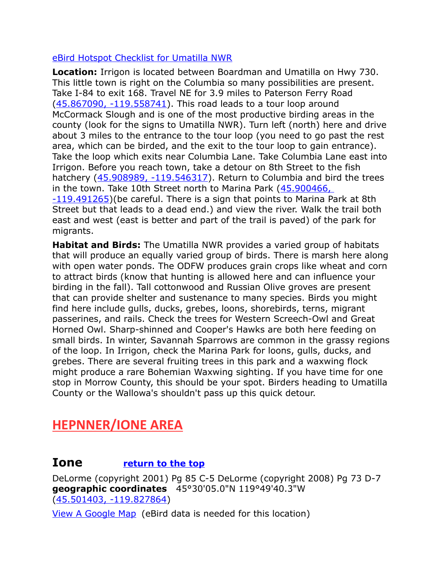#### [eBird Hotspot Checklist for Umatilla NWR](http://ebird.org/ebird/hotspot/L804384)

**Location:** Irrigon is located between Boardman and Umatilla on Hwy 730. This little town is right on the Columbia so many possibilities are present. Take I-84 to exit 168. Travel NE for 3.9 miles to Paterson Ferry Road [\(45.867090, -119.558741\)](https://www.google.com/maps/place/45%C2%B052). This road leads to a tour loop around McCormack Slough and is one of the most productive birding areas in the county (look for the signs to Umatilla NWR). Turn left (north) here and drive about 3 miles to the entrance to the tour loop (you need to go past the rest area, which can be birded, and the exit to the tour loop to gain entrance). Take the loop which exits near Columbia Lane. Take Columbia Lane east into Irrigon. Before you reach town, take a detour on 8th Street to the fish hatchery [\(45.908989, -119.546317\)](https://www.google.com/maps/place/45%C2%B054). Return to Columbia and bird the trees in the town. Take 10th Street north to Marina Park [\(45.900466,](https://www.google.com/maps/place/45%C2%B054)   $-119.491265$ )(be careful. There is a sign that points to Marina Park at 8th Street but that leads to a dead end.) and view the river. Walk the trail both east and west (east is better and part of the trail is paved) of the park for migrants.

**Habitat and Birds:** The Umatilla NWR provides a varied group of habitats that will produce an equally varied group of birds. There is marsh here along with open water ponds. The ODFW produces grain crops like wheat and corn to attract birds (know that hunting is allowed here and can influence your birding in the fall). Tall cottonwood and Russian Olive groves are present that can provide shelter and sustenance to many species. Birds you might find here include gulls, ducks, grebes, loons, shorebirds, terns, migrant passerines, and rails. Check the trees for Western Screech-Owl and Great Horned Owl. Sharp-shinned and Cooper's Hawks are both here feeding on small birds. In winter, Savannah Sparrows are common in the grassy regions of the loop. In Irrigon, check the Marina Park for loons, gulls, ducks, and grebes. There are several fruiting trees in this park and a waxwing flock might produce a rare Bohemian Waxwing sighting. If you have time for one stop in Morrow County, this should be your spot. Birders heading to Umatilla County or the Wallowa's shouldn't pass up this quick detour.

#### <span id="page-3-1"></span>**HEPNNER/IONE AREA**

#### <span id="page-3-0"></span>**Ione [return to the top](#page-0-0)**

DeLorme (copyright 2001) Pg 85 C-5 DeLorme (copyright 2008) Pg 73 D-7 **geographic coordinates** 45°30'05.0"N 119°49'40.3"W [\(45.501403, -119.827864\)](https://www.google.com/maps/place/45%C2%B030)

[View A Google Map](http://maps.google.com/maps/ms?hl=en&ie=UTF8&msa=0&msid=108036481085398338899.0004763ffea2492cb4834&ll=45.515971,-119.734497&spn=1.65317,4.216003&z=9) (eBird data is needed for this location)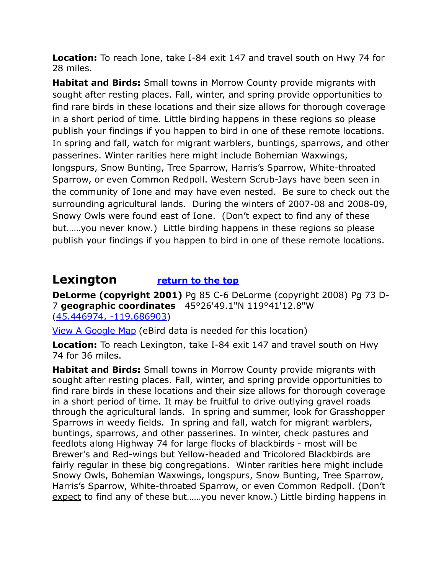**Location:** To reach Ione, take I-84 exit 147 and travel south on Hwy 74 for 28 miles.

**Habitat and Birds:** Small towns in Morrow County provide migrants with sought after resting places. Fall, winter, and spring provide opportunities to find rare birds in these locations and their size allows for thorough coverage in a short period of time. Little birding happens in these regions so please publish your findings if you happen to bird in one of these remote locations. In spring and fall, watch for migrant warblers, buntings, sparrows, and other passerines. Winter rarities here might include Bohemian Waxwings, longspurs, Snow Bunting, Tree Sparrow, Harris's Sparrow, White-throated Sparrow, or even Common Redpoll. Western Scrub-Jays have been seen in the community of Ione and may have even nested. Be sure to check out the surrounding agricultural lands. During the winters of 2007-08 and 2008-09, Snowy Owls were found east of Ione. (Don't expect to find any of these but……you never know.) Little birding happens in these regions so please publish your findings if you happen to bird in one of these remote locations.

#### <span id="page-4-0"></span>**Lexington [return to the top](#page-0-0)**

**DeLorme (copyright 2001)** Pg 85 C-6 DeLorme (copyright 2008) Pg 73 D-7 **geographic coordinates** 45°26'49.1"N 119°41'12.8"W [\(45.446974, -119.686903\)](https://www.google.com/maps/place/45%C2%B026)

[View A Google Map](http://maps.google.com/maps/ms?hl=en&ie=UTF8&msa=0&msid=108036481085398338899.0004763ffea2492cb4834&ll=45.515971,-119.734497&spn=1.65317,4.216003&z=9) (eBird data is needed for this location)

**Location:** To reach Lexington, take I-84 exit 147 and travel south on Hwy 74 for 36 miles.

**Habitat and Birds:** Small towns in Morrow County provide migrants with sought after resting places. Fall, winter, and spring provide opportunities to find rare birds in these locations and their size allows for thorough coverage in a short period of time. It may be fruitful to drive outlying gravel roads through the agricultural lands. In spring and summer, look for Grasshopper Sparrows in weedy fields. In spring and fall, watch for migrant warblers, buntings, sparrows, and other passerines. In winter, check pastures and feedlots along Highway 74 for large flocks of blackbirds - most will be Brewer's and Red-wings but Yellow-headed and Tricolored Blackbirds are fairly regular in these big congregations. Winter rarities here might include Snowy Owls, Bohemian Waxwings, longspurs, Snow Bunting, Tree Sparrow, Harris's Sparrow, White-throated Sparrow, or even Common Redpoll. (Don't expect to find any of these but……you never know.) Little birding happens in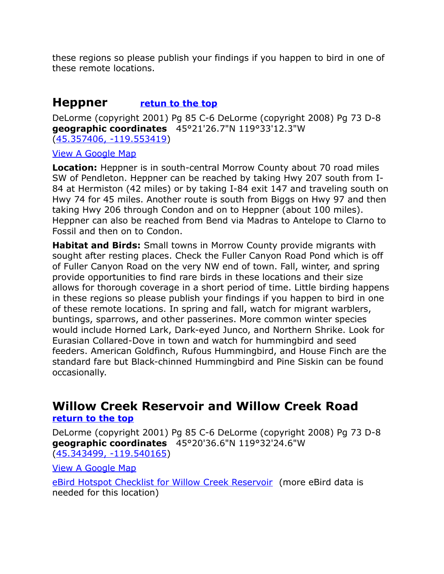these regions so please publish your findings if you happen to bird in one of these remote locations.

#### <span id="page-5-1"></span>**Heppner [retun to the top](#page-0-0)**

DeLorme (copyright 2001) Pg 85 C-6 DeLorme (copyright 2008) Pg 73 D-8 **geographic coordinates** 45°21'26.7"N 119°33'12.3"W [\(45.357406, -119.553419\)](https://www.google.com/maps/place/45%C2%B021)

#### [View A Google Map](http://maps.google.com/maps/ms?hl=en&ie=UTF8&msa=0&msid=108036481085398338899.0004763ffea2492cb4834&ll=45.515971,-119.734497&spn=1.65317,4.216003&z=9)

**Location:** Heppner is in south-central Morrow County about 70 road miles SW of Pendleton. Heppner can be reached by taking Hwy 207 south from I-84 at Hermiston (42 miles) or by taking I-84 exit 147 and traveling south on Hwy 74 for 45 miles. Another route is south from Biggs on Hwy 97 and then taking Hwy 206 through Condon and on to Heppner (about 100 miles). Heppner can also be reached from Bend via Madras to Antelope to Clarno to Fossil and then on to Condon.

**Habitat and Birds:** Small towns in Morrow County provide migrants with sought after resting places. Check the Fuller Canyon Road Pond which is off of Fuller Canyon Road on the very NW end of town. Fall, winter, and spring provide opportunities to find rare birds in these locations and their size allows for thorough coverage in a short period of time. Little birding happens in these regions so please publish your findings if you happen to bird in one of these remote locations. In spring and fall, watch for migrant warblers, buntings, sparrows, and other passerines. More common winter species would include Horned Lark, Dark-eyed Junco, and Northern Shrike. Look for Eurasian Collared-Dove in town and watch for hummingbird and seed feeders. American Goldfinch, Rufous Hummingbird, and House Finch are the standard fare but Black-chinned Hummingbird and Pine Siskin can be found occasionally.

#### <span id="page-5-0"></span>**Willow Creek Reservoir and Willow Creek Road [return to the top](#page-0-0)**

DeLorme (copyright 2001) Pg 85 C-6 DeLorme (copyright 2008) Pg 73 D-8 **geographic coordinates** 45°20'36.6"N 119°32'24.6"W [\(45.343499, -119.540165\)](https://www.google.com/maps/place/45%C2%B020)

[View A Google Map](http://maps.google.com/maps/ms?hl=en&ie=UTF8&msa=0&msid=108036481085398338899.0004763ffea2492cb4834&ll=45.515971,-119.734497&spn=1.65317,4.216003&z=9)

[eBird Hotspot Checklist for Willow Creek Reservoir](http://ebird.org/ebird/hotspot/L1832407) (more eBird data is needed for this location)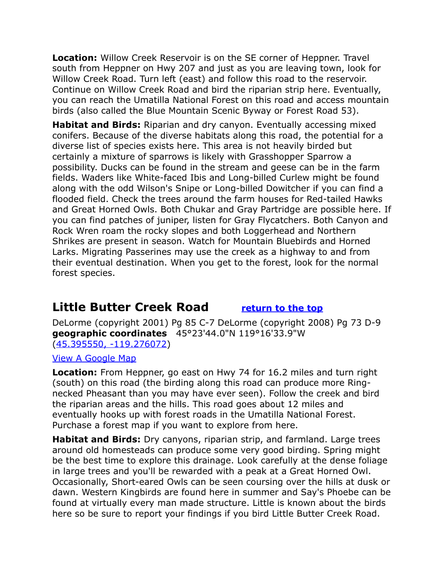**Location:** Willow Creek Reservoir is on the SE corner of Heppner. Travel south from Heppner on Hwy 207 and just as you are leaving town, look for Willow Creek Road. Turn left (east) and follow this road to the reservoir. Continue on Willow Creek Road and bird the riparian strip here. Eventually, you can reach the Umatilla National Forest on this road and access mountain birds (also called the Blue Mountain Scenic Byway or Forest Road 53).

**Habitat and Birds:** Riparian and dry canyon. Eventually accessing mixed conifers. Because of the diverse habitats along this road, the potential for a diverse list of species exists here. This area is not heavily birded but certainly a mixture of sparrows is likely with Grasshopper Sparrow a possibility. Ducks can be found in the stream and geese can be in the farm fields. Waders like White-faced Ibis and Long-billed Curlew might be found along with the odd Wilson's Snipe or Long-billed Dowitcher if you can find a flooded field. Check the trees around the farm houses for Red-tailed Hawks and Great Horned Owls. Both Chukar and Gray Partridge are possible here. If you can find patches of juniper, listen for Gray Flycatchers. Both Canyon and Rock Wren roam the rocky slopes and both Loggerhead and Northern Shrikes are present in season. Watch for Mountain Bluebirds and Horned Larks. Migrating Passerines may use the creek as a highway to and from their eventual destination. When you get to the forest, look for the normal forest species.

#### <span id="page-6-0"></span>**Little Butter Creek Road [return to the top](#page-0-0)**

DeLorme (copyright 2001) Pg 85 C-7 DeLorme (copyright 2008) Pg 73 D-9 **geographic coordinates** 45°23'44.0"N 119°16'33.9"W [\(45.395550, -119.276072\)](https://www.google.com/maps/place/45%C2%B023)

[View A Google Map](http://maps.google.com/maps/ms?hl=en&ie=UTF8&msa=0&msid=108036481085398338899.0004763ffea2492cb4834&ll=45.515971,-119.734497&spn=1.65317,4.216003&z=9)

**Location:** From Heppner, go east on Hwy 74 for 16.2 miles and turn right (south) on this road (the birding along this road can produce more Ringnecked Pheasant than you may have ever seen). Follow the creek and bird the riparian areas and the hills. This road goes about 12 miles and eventually hooks up with forest roads in the Umatilla National Forest. Purchase a forest map if you want to explore from here.

**Habitat and Birds:** Dry canyons, riparian strip, and farmland. Large trees around old homesteads can produce some very good birding. Spring might be the best time to explore this drainage. Look carefully at the dense foliage in large trees and you'll be rewarded with a peak at a Great Horned Owl. Occasionally, Short-eared Owls can be seen coursing over the hills at dusk or dawn. Western Kingbirds are found here in summer and Say's Phoebe can be found at virtually every man made structure. Little is known about the birds here so be sure to report your findings if you bird Little Butter Creek Road.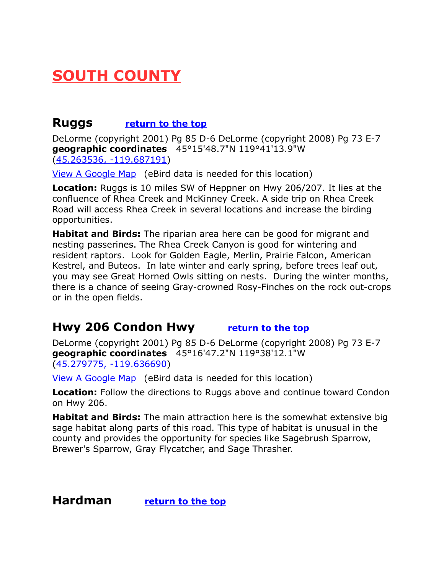### <span id="page-7-3"></span>**SOUTH COUNTY**

#### <span id="page-7-2"></span>**Ruggs [return to the top](#page-0-0)**

DeLorme (copyright 2001) Pg 85 D-6 DeLorme (copyright 2008) Pg 73 E-7 **geographic coordinates** 45°15'48.7"N 119°41'13.9"W [\(45.263536, -119.687191\)](https://www.google.com/maps/place/45%C2%B015)

[View A Google Map](http://maps.google.com/maps/ms?hl=en&ie=UTF8&msa=0&msid=108036481085398338899.0004763ffea2492cb4834&ll=45.515971,-119.734497&spn=1.65317,4.216003&z=9) (eBird data is needed for this location)

**Location:** Ruggs is 10 miles SW of Heppner on Hwy 206/207. It lies at the confluence of Rhea Creek and McKinney Creek. A side trip on Rhea Creek Road will access Rhea Creek in several locations and increase the birding opportunities.

**Habitat and Birds:** The riparian area here can be good for migrant and nesting passerines. The Rhea Creek Canyon is good for wintering and resident raptors. Look for Golden Eagle, Merlin, Prairie Falcon, American Kestrel, and Buteos. In late winter and early spring, before trees leaf out, you may see Great Horned Owls sitting on nests. During the winter months, there is a chance of seeing Gray-crowned Rosy-Finches on the rock out-crops or in the open fields.

#### <span id="page-7-0"></span>**Hwy 206 Condon Hwy [return to the top](#page-0-0)**

DeLorme (copyright 2001) Pg 85 D-6 DeLorme (copyright 2008) Pg 73 E-7 **geographic coordinates** 45°16'47.2"N 119°38'12.1"W [\(45.279775, -119.636690\)](https://www.google.com/maps/place/45%C2%B016)

[View A Google Map](http://maps.google.com/maps/ms?hl=en&ie=UTF8&msa=0&msid=108036481085398338899.0004763ffea2492cb4834&ll=45.515971,-119.734497&spn=1.65317,4.216003&z=9) (eBird data is needed for this location)

**Location:** Follow the directions to Ruggs above and continue toward Condon on Hwy 206.

**Habitat and Birds:** The main attraction here is the somewhat extensive big sage habitat along parts of this road. This type of habitat is unusual in the county and provides the opportunity for species like Sagebrush Sparrow, Brewer's Sparrow, Gray Flycatcher, and Sage Thrasher.

<span id="page-7-1"></span>**Hardman [return to the top](#page-0-0)**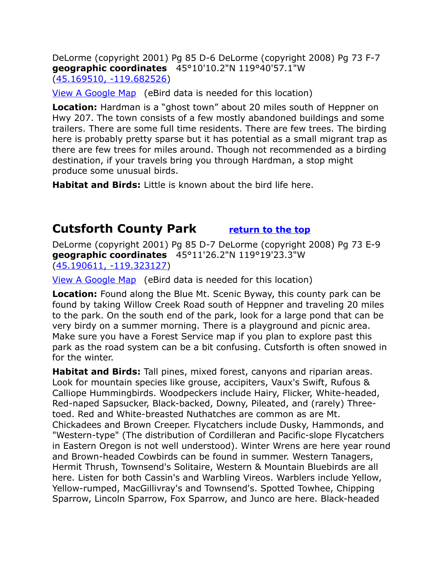DeLorme (copyright 2001) Pg 85 D-6 DeLorme (copyright 2008) Pg 73 F-7 **geographic coordinates** 45°10'10.2"N 119°40'57.1"W [\(45.169510, -119.682526\)](https://www.google.com/maps/place/45%C2%B010)

[View A Google Map](http://maps.google.com/maps/ms?hl=en&ie=UTF8&msa=0&msid=108036481085398338899.0004763ffea2492cb4834&ll=45.515971,-119.734497&spn=1.65317,4.216003&z=9) (eBird data is needed for this location)

**Location:** Hardman is a "ghost town" about 20 miles south of Heppner on Hwy 207. The town consists of a few mostly abandoned buildings and some trailers. There are some full time residents. There are few trees. The birding here is probably pretty sparse but it has potential as a small migrant trap as there are few trees for miles around. Though not recommended as a birding destination, if your travels bring you through Hardman, a stop might produce some unusual birds.

**Habitat and Birds:** Little is known about the bird life here.

#### <span id="page-8-0"></span>**Cutsforth County Park [return to the top](#page-0-0)**

DeLorme (copyright 2001) Pg 85 D-7 DeLorme (copyright 2008) Pg 73 E-9 **geographic coordinates** 45°11'26.2"N 119°19'23.3"W [\(45.190611, -119.323127\)](https://www.google.com/maps/place/45%C2%B011)

[View A Google Map](http://maps.google.com/maps/ms?hl=en&ie=UTF8&msa=0&msid=108036481085398338899.0004763ffea2492cb4834&ll=45.515971,-119.734497&spn=1.65317,4.216003&z=9) (eBird data is needed for this location)

**Location:** Found along the Blue Mt. Scenic Byway, this county park can be found by taking Willow Creek Road south of Heppner and traveling 20 miles to the park. On the south end of the park, look for a large pond that can be very birdy on a summer morning. There is a playground and picnic area. Make sure you have a Forest Service map if you plan to explore past this park as the road system can be a bit confusing. Cutsforth is often snowed in for the winter.

**Habitat and Birds:** Tall pines, mixed forest, canyons and riparian areas. Look for mountain species like grouse, accipiters, Vaux's Swift, Rufous & Calliope Hummingbirds. Woodpeckers include Hairy, Flicker, White-headed, Red-naped Sapsucker, Black-backed, Downy, Pileated, and (rarely) Threetoed. Red and White-breasted Nuthatches are common as are Mt. Chickadees and Brown Creeper. Flycatchers include Dusky, Hammonds, and "Western-type" (The distribution of Cordilleran and Pacific-slope Flycatchers in Eastern Oregon is not well understood). Winter Wrens are here year round and Brown-headed Cowbirds can be found in summer. Western Tanagers, Hermit Thrush, Townsend's Solitaire, Western & Mountain Bluebirds are all here. Listen for both Cassin's and Warbling Vireos. Warblers include Yellow, Yellow-rumped, MacGillivray's and Townsend's. Spotted Towhee, Chipping Sparrow, Lincoln Sparrow, Fox Sparrow, and Junco are here. Black-headed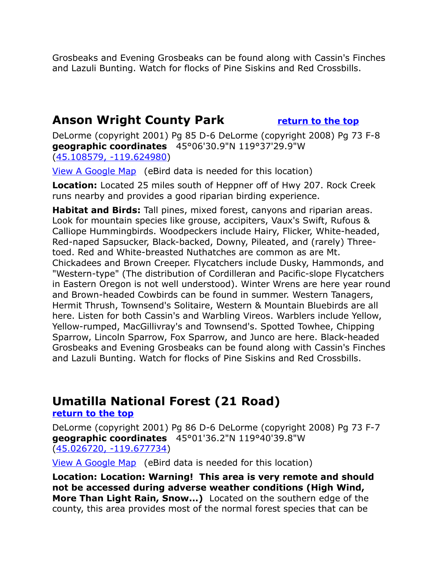Grosbeaks and Evening Grosbeaks can be found along with Cassin's Finches and Lazuli Bunting. Watch for flocks of Pine Siskins and Red Crossbills.

#### <span id="page-9-0"></span>**Anson Wright County Park [return to the top](#page-0-0)**

DeLorme (copyright 2001) Pg 85 D-6 DeLorme (copyright 2008) Pg 73 F-8 **geographic coordinates** 45°06'30.9"N 119°37'29.9"W [\(45.108579, -119.624980\)](https://www.google.com/maps/place/45%C2%B006)

[View A Google Map](http://maps.google.com/maps/ms?hl=en&ie=UTF8&msa=0&msid=108036481085398338899.0004763ffea2492cb4834&ll=45.515971,-119.734497&spn=1.65317,4.216003&z=9) (eBird data is needed for this location)

**Location:** Located 25 miles south of Heppner off of Hwy 207. Rock Creek runs nearby and provides a good riparian birding experience.

**Habitat and Birds:** Tall pines, mixed forest, canyons and riparian areas. Look for mountain species like grouse, accipiters, Vaux's Swift, Rufous & Calliope Hummingbirds. Woodpeckers include Hairy, Flicker, White-headed, Red-naped Sapsucker, Black-backed, Downy, Pileated, and (rarely) Threetoed. Red and White-breasted Nuthatches are common as are Mt. Chickadees and Brown Creeper. Flycatchers include Dusky, Hammonds, and "Western-type" (The distribution of Cordilleran and Pacific-slope Flycatchers in Eastern Oregon is not well understood). Winter Wrens are here year round and Brown-headed Cowbirds can be found in summer. Western Tanagers, Hermit Thrush, Townsend's Solitaire, Western & Mountain Bluebirds are all here. Listen for both Cassin's and Warbling Vireos. Warblers include Yellow, Yellow-rumped, MacGillivray's and Townsend's. Spotted Towhee, Chipping Sparrow, Lincoln Sparrow, Fox Sparrow, and Junco are here. Black-headed Grosbeaks and Evening Grosbeaks can be found along with Cassin's Finches and Lazuli Bunting. Watch for flocks of Pine Siskins and Red Crossbills.

#### <span id="page-9-1"></span>**Umatilla National Forest (21 Road)**

**[return to the top](#page-0-0)**

DeLorme (copyright 2001) Pg 86 D-6 DeLorme (copyright 2008) Pg 73 F-7 **geographic coordinates** 45°01'36.2"N 119°40'39.8"W [\(45.026720, -119.677734\)](https://www.google.com/maps/place/45%C2%B001)

[View A Google Map](http://maps.google.com/maps/ms?hl=en&ie=UTF8&msa=0&msid=108036481085398338899.0004763ffea2492cb4834&ll=45.515971,-119.734497&spn=1.65317,4.216003&z=9) (eBird data is needed for this location)

**Location: Location: Warning! This area is very remote and should not be accessed during adverse weather conditions (High Wind, More Than Light Rain, Snow...)** Located on the southern edge of the county, this area provides most of the normal forest species that can be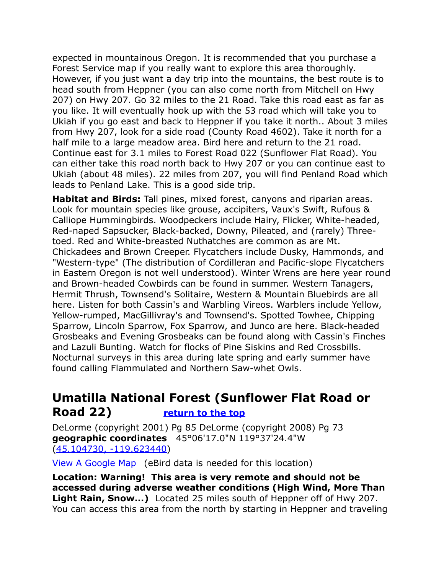expected in mountainous Oregon. It is recommended that you purchase a Forest Service map if you really want to explore this area thoroughly. However, if you just want a day trip into the mountains, the best route is to head south from Heppner (you can also come north from Mitchell on Hwy 207) on Hwy 207. Go 32 miles to the 21 Road. Take this road east as far as you like. It will eventually hook up with the 53 road which will take you to Ukiah if you go east and back to Heppner if you take it north.. About 3 miles from Hwy 207, look for a side road (County Road 4602). Take it north for a half mile to a large meadow area. Bird here and return to the 21 road. Continue east for 3.1 miles to Forest Road 022 (Sunflower Flat Road). You can either take this road north back to Hwy 207 or you can continue east to Ukiah (about 48 miles). 22 miles from 207, you will find Penland Road which leads to Penland Lake. This is a good side trip.

**Habitat and Birds:** Tall pines, mixed forest, canyons and riparian areas. Look for mountain species like grouse, accipiters, Vaux's Swift, Rufous & Calliope Hummingbirds. Woodpeckers include Hairy, Flicker, White-headed, Red-naped Sapsucker, Black-backed, Downy, Pileated, and (rarely) Threetoed. Red and White-breasted Nuthatches are common as are Mt. Chickadees and Brown Creeper. Flycatchers include Dusky, Hammonds, and "Western-type" (The distribution of Cordilleran and Pacific-slope Flycatchers in Eastern Oregon is not well understood). Winter Wrens are here year round and Brown-headed Cowbirds can be found in summer. Western Tanagers, Hermit Thrush, Townsend's Solitaire, Western & Mountain Bluebirds are all here. Listen for both Cassin's and Warbling Vireos. Warblers include Yellow, Yellow-rumped, MacGillivray's and Townsend's. Spotted Towhee, Chipping Sparrow, Lincoln Sparrow, Fox Sparrow, and Junco are here. Black-headed Grosbeaks and Evening Grosbeaks can be found along with Cassin's Finches and Lazuli Bunting. Watch for flocks of Pine Siskins and Red Crossbills. Nocturnal surveys in this area during late spring and early summer have found calling Flammulated and Northern Saw-whet Owls.

#### <span id="page-10-0"></span>**Umatilla National Forest (Sunflower Flat Road or Road 22) [return to the top](#page-0-0)**

DeLorme (copyright 2001) Pg 85 DeLorme (copyright 2008) Pg 73 **geographic coordinates** 45°06'17.0"N 119°37'24.4"W [\(45.104730, -119.623440\)](https://www.google.com/maps/place/45%C2%B006)

[View A Google Map](http://maps.google.com/maps/ms?hl=en&ie=UTF8&msa=0&msid=108036481085398338899.0004763ffea2492cb4834&ll=45.515971,-119.734497&spn=1.65317,4.216003&z=9) (eBird data is needed for this location)

**Location: Warning! This area is very remote and should not be accessed during adverse weather conditions (High Wind, More Than Light Rain, Snow...)** Located 25 miles south of Heppner off of Hwy 207. You can access this area from the north by starting in Heppner and traveling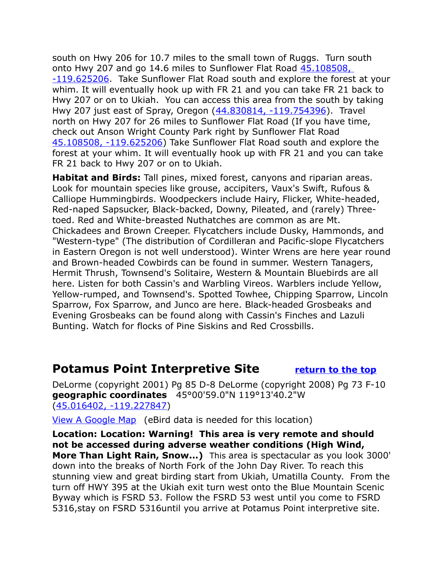south on Hwy 206 for 10.7 miles to the small town of Ruggs. Turn south onto Hwy 207 and go 14.6 miles to Sunflower Flat Road [45.108508,](https://www.google.com/maps/place/45%C2%B006)  [-119.625206.](https://www.google.com/maps/place/45%C2%B006) Take Sunflower Flat Road south and explore the forest at your whim. It will eventually hook up with FR 21 and you can take FR 21 back to Hwy 207 or on to Ukiah. You can access this area from the south by taking Hwy 207 just east of Spray, Oregon [\(44.830814, -119.754396\)](https://www.google.com/maps/place/44%C2%B049). Travel north on Hwy 207 for 26 miles to Sunflower Flat Road (If you have time, check out Anson Wright County Park right by Sunflower Flat Road [45.108508, -119.625206\)](https://www.google.com/maps/place/45%C2%B006) Take Sunflower Flat Road south and explore the forest at your whim. It will eventually hook up with FR 21 and you can take FR 21 back to Hwy 207 or on to Ukiah.

**Habitat and Birds:** Tall pines, mixed forest, canyons and riparian areas. Look for mountain species like grouse, accipiters, Vaux's Swift, Rufous & Calliope Hummingbirds. Woodpeckers include Hairy, Flicker, White-headed, Red-naped Sapsucker, Black-backed, Downy, Pileated, and (rarely) Threetoed. Red and White-breasted Nuthatches are common as are Mt. Chickadees and Brown Creeper. Flycatchers include Dusky, Hammonds, and "Western-type" (The distribution of Cordilleran and Pacific-slope Flycatchers in Eastern Oregon is not well understood). Winter Wrens are here year round and Brown-headed Cowbirds can be found in summer. Western Tanagers, Hermit Thrush, Townsend's Solitaire, Western & Mountain Bluebirds are all here. Listen for both Cassin's and Warbling Vireos. Warblers include Yellow, Yellow-rumped, and Townsend's. Spotted Towhee, Chipping Sparrow, Lincoln Sparrow, Fox Sparrow, and Junco are here. Black-headed Grosbeaks and Evening Grosbeaks can be found along with Cassin's Finches and Lazuli Bunting. Watch for flocks of Pine Siskins and Red Crossbills.

#### <span id="page-11-0"></span>**Potamus Point Interpretive Site [return to the top](#page-0-0)**

DeLorme (copyright 2001) Pg 85 D-8 DeLorme (copyright 2008) Pg 73 F-10 **geographic coordinates** 45°00'59.0"N 119°13'40.2"W [\(45.016402, -119.227847\)](https://www.google.com/maps/place/45%C2%B000)

[View A Google Map](http://maps.google.com/maps/ms?hl=en&ie=UTF8&msa=0&msid=108036481085398338899.0004763ffea2492cb4834&ll=45.515971,-119.734497&spn=1.65317,4.216003&z=9) (eBird data is needed for this location)

**Location: Location: Warning! This area is very remote and should not be accessed during adverse weather conditions (High Wind, More Than Light Rain, Snow...)** This area is spectacular as you look 3000' down into the breaks of North Fork of the John Day River. To reach this stunning view and great birding start from Ukiah, Umatilla County. From the turn off HWY 395 at the Ukiah exit turn west onto the Blue Mountain Scenic Byway which is FSRD 53. Follow the FSRD 53 west until you come to FSRD 5316,stay on FSRD 5316until you arrive at Potamus Point interpretive site.